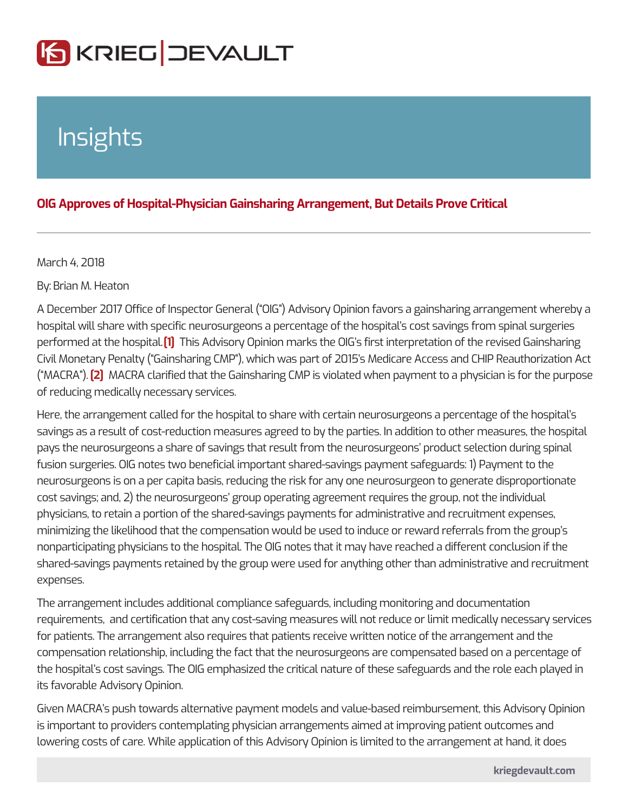## Insights

## OIG Approves of Hospital-Physician Gainsharing Arrangement, But Details

## March 4, 2018

ByBrian M. Heaton

A December 2017 Office of Inspector General ( OIG ) Advisory Opinion favors a gainsharing arrangement and where  $a$ hospital will share with specific neurosurgeons a percentage of the hospital s co performed at the host this aladvisory Opinion marks the OIG s first interpretation of Civil Monetary Penalty ( Gainsharing CMP ), which was part of 2015 s Medicare *I* (  $MACR[2]$  ). MACRA clarified that the Gainsharing CMP is violated when payment to of reducing medically necessary services.

Here, the arrangement called for the hospital to share with certain neurosurgeon savings as a result of cost-reduction measures agreed to by the parties. In addit pays the neurosurgeons a share of savings that result from the neurosurgeons p fusion surgeries. OIG notes two beneficial important shared-savings payment saf neurosurgeons is on a per capita basis, reducing the risk for any one neurosurge cost savings; and, 2) the neurosurgeons group operating agreement requires the physicians, to retain a portion of the shared-savings payments for administrative minimizing the likelihood that the compensation would be used to induce or reward referreferrals from the group s nonparticipating physicians to the hospital. The OIG notes that it may have reach shared-savings payments retained by the group were used for anything other than expenses.

The arrangement includes additional compliance safeguards, including monitoring requirements, and certification that any cost-saving measures will not reduce or for patients. The arrangement also requires that patients receive written notice of compensation relationship, including the fact that the neurosurgeons are compen the hospital s cost savings. The OIG emphasized the critical nature of these safe its favorable Advisory Opinion.

Given MACRA s push towards alternative payment models and value-based reimb is important to providers contemplating physician arrangements aimed at improvi lowering costs of care. While application of this Advisory Opinion is limited to th